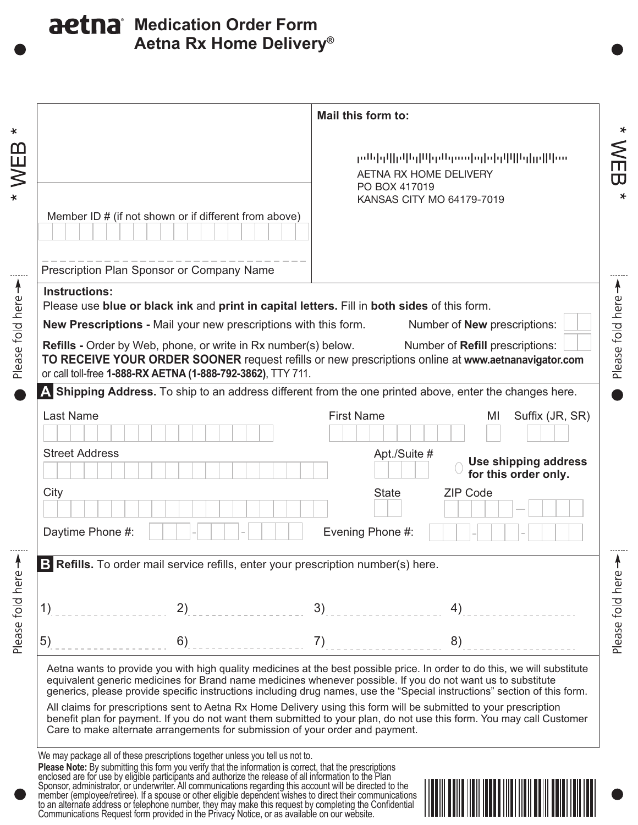## **Aetna Rx Home Delivery® aetna** Medication Order Form

| KANSAS CITY MO 64179-7019<br>Member ID # (if not shown or if different from above)<br>Prescription Plan Sponsor or Company Name<br><b>Instructions:</b><br>Please use blue or black ink and print in capital letters. Fill in both sides of this form.<br><b>New Prescriptions - Mail your new prescriptions with this form.</b><br>Number of <b>New</b> prescriptions:<br>Number of Refill prescriptions:<br>Refills - Order by Web, phone, or write in Rx number(s) below.<br>TO RECEIVE YOUR ORDER SOONER request refills or new prescriptions online at www.aetnanavigator.com<br>or call toll-free 1-888-RX AETNA (1-888-792-3862), TTY 711.<br>A Shipping Address. To ship to an address different from the one printed above, enter the changes here.<br><b>Last Name</b><br><b>First Name</b><br>MI<br><b>Street Address</b><br>Apt./Suite #<br>City<br><b>State</b><br><b>ZIP Code</b><br>Daytime Phone #:<br>Evening Phone #:<br>B Refills. To order mail service refills, enter your prescription number(s) here.<br>2)<br>3)<br>1)<br>4)<br>6)<br>7)<br>5)<br>8)<br>Aetna wants to provide you with high quality medicines at the best possible price. In order to do this, we will substitute<br>equivalent generic medicines for Brand name medicines whenever possible. If you do not want us to substitute<br>generics, please provide specific instructions including drug names, use the "Special instructions" section of this form. | Mail this form to:<br>րժեխվիվնդիկոնդում օրիկվիկերիվում<br>AETNA RX HOME DELIVERY<br>PO BOX 417019 |  |
|---------------------------------------------------------------------------------------------------------------------------------------------------------------------------------------------------------------------------------------------------------------------------------------------------------------------------------------------------------------------------------------------------------------------------------------------------------------------------------------------------------------------------------------------------------------------------------------------------------------------------------------------------------------------------------------------------------------------------------------------------------------------------------------------------------------------------------------------------------------------------------------------------------------------------------------------------------------------------------------------------------------------------------------------------------------------------------------------------------------------------------------------------------------------------------------------------------------------------------------------------------------------------------------------------------------------------------------------------------------------------------------------------------------------------------------------------------|---------------------------------------------------------------------------------------------------|--|
|                                                                                                                                                                                                                                                                                                                                                                                                                                                                                                                                                                                                                                                                                                                                                                                                                                                                                                                                                                                                                                                                                                                                                                                                                                                                                                                                                                                                                                                         |                                                                                                   |  |
|                                                                                                                                                                                                                                                                                                                                                                                                                                                                                                                                                                                                                                                                                                                                                                                                                                                                                                                                                                                                                                                                                                                                                                                                                                                                                                                                                                                                                                                         |                                                                                                   |  |
|                                                                                                                                                                                                                                                                                                                                                                                                                                                                                                                                                                                                                                                                                                                                                                                                                                                                                                                                                                                                                                                                                                                                                                                                                                                                                                                                                                                                                                                         |                                                                                                   |  |
|                                                                                                                                                                                                                                                                                                                                                                                                                                                                                                                                                                                                                                                                                                                                                                                                                                                                                                                                                                                                                                                                                                                                                                                                                                                                                                                                                                                                                                                         |                                                                                                   |  |
|                                                                                                                                                                                                                                                                                                                                                                                                                                                                                                                                                                                                                                                                                                                                                                                                                                                                                                                                                                                                                                                                                                                                                                                                                                                                                                                                                                                                                                                         |                                                                                                   |  |
|                                                                                                                                                                                                                                                                                                                                                                                                                                                                                                                                                                                                                                                                                                                                                                                                                                                                                                                                                                                                                                                                                                                                                                                                                                                                                                                                                                                                                                                         |                                                                                                   |  |
|                                                                                                                                                                                                                                                                                                                                                                                                                                                                                                                                                                                                                                                                                                                                                                                                                                                                                                                                                                                                                                                                                                                                                                                                                                                                                                                                                                                                                                                         |                                                                                                   |  |
|                                                                                                                                                                                                                                                                                                                                                                                                                                                                                                                                                                                                                                                                                                                                                                                                                                                                                                                                                                                                                                                                                                                                                                                                                                                                                                                                                                                                                                                         | Suffix (JR, SR)                                                                                   |  |
|                                                                                                                                                                                                                                                                                                                                                                                                                                                                                                                                                                                                                                                                                                                                                                                                                                                                                                                                                                                                                                                                                                                                                                                                                                                                                                                                                                                                                                                         | Use shipping address<br>for this order only.                                                      |  |
|                                                                                                                                                                                                                                                                                                                                                                                                                                                                                                                                                                                                                                                                                                                                                                                                                                                                                                                                                                                                                                                                                                                                                                                                                                                                                                                                                                                                                                                         |                                                                                                   |  |
|                                                                                                                                                                                                                                                                                                                                                                                                                                                                                                                                                                                                                                                                                                                                                                                                                                                                                                                                                                                                                                                                                                                                                                                                                                                                                                                                                                                                                                                         |                                                                                                   |  |
|                                                                                                                                                                                                                                                                                                                                                                                                                                                                                                                                                                                                                                                                                                                                                                                                                                                                                                                                                                                                                                                                                                                                                                                                                                                                                                                                                                                                                                                         |                                                                                                   |  |
|                                                                                                                                                                                                                                                                                                                                                                                                                                                                                                                                                                                                                                                                                                                                                                                                                                                                                                                                                                                                                                                                                                                                                                                                                                                                                                                                                                                                                                                         |                                                                                                   |  |
|                                                                                                                                                                                                                                                                                                                                                                                                                                                                                                                                                                                                                                                                                                                                                                                                                                                                                                                                                                                                                                                                                                                                                                                                                                                                                                                                                                                                                                                         |                                                                                                   |  |
|                                                                                                                                                                                                                                                                                                                                                                                                                                                                                                                                                                                                                                                                                                                                                                                                                                                                                                                                                                                                                                                                                                                                                                                                                                                                                                                                                                                                                                                         |                                                                                                   |  |
| All claims for prescriptions sent to Aetna Rx Home Delivery using this form will be submitted to your prescription<br>benefit plan for payment. If you do not want them submitted to your plan, do not use this form. You may call Customer<br>Care to make alternate arrangements for submission of your order and payment.                                                                                                                                                                                                                                                                                                                                                                                                                                                                                                                                                                                                                                                                                                                                                                                                                                                                                                                                                                                                                                                                                                                            |                                                                                                   |  |
| We may package all of these prescriptions together unless you tell us not to.                                                                                                                                                                                                                                                                                                                                                                                                                                                                                                                                                                                                                                                                                                                                                                                                                                                                                                                                                                                                                                                                                                                                                                                                                                                                                                                                                                           |                                                                                                   |  |
| Please Note: By submitting this form you verify that the information is correct, that the prescriptions enclosed are for use by eligible participants and authorize the release of all information to the Plan                                                                                                                                                                                                                                                                                                                                                                                                                                                                                                                                                                                                                                                                                                                                                                                                                                                                                                                                                                                                                                                                                                                                                                                                                                          |                                                                                                   |  |

to an alternate address or telephone number, they may make this request by completing the Confidential Communications Request form provided in the Privacy Notice, or as available on our website.